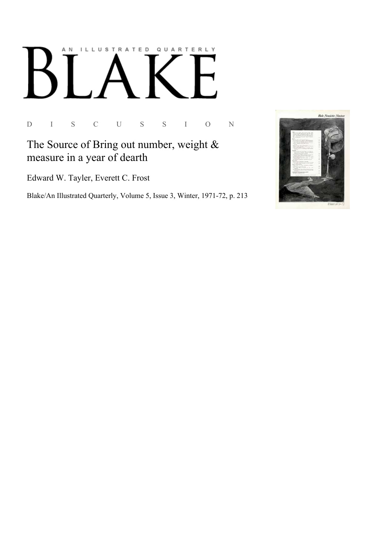## ILLUSTRATED QUARTERLY A N

D I S C U S S I O N

## The Source of Bring out number, weight  $&$ measure in a year of dearth

Edward W. Tayler, Everett C. Frost

Blake/An Illustrated Quarterly, Volume 5, Issue 3, Winter, 1971-72, p. 213